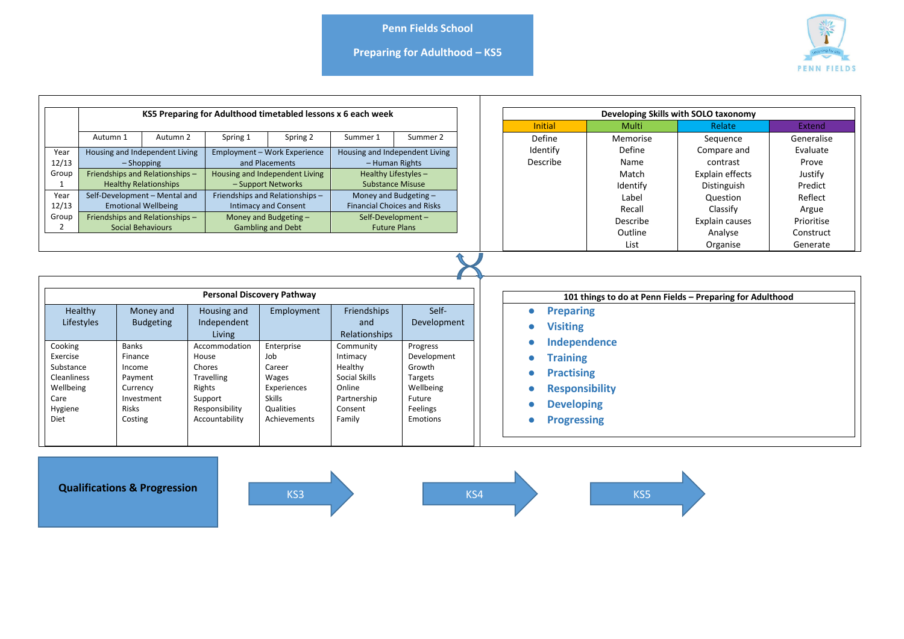**Preparing for Adulthood – KS5**



|                                                                                         |                                                                                                                                                                                       |                                                                                                                                                                                                                                               |                                                                                                                          |                                                                                                                                                                                                                              |                                                                                                                                                                                                                | Developing Skills with SOLO taxonomy                                                        |                                                                                                                               |                                                                                       |                                                                                                                            |                                                                                                    |
|-----------------------------------------------------------------------------------------|---------------------------------------------------------------------------------------------------------------------------------------------------------------------------------------|-----------------------------------------------------------------------------------------------------------------------------------------------------------------------------------------------------------------------------------------------|--------------------------------------------------------------------------------------------------------------------------|------------------------------------------------------------------------------------------------------------------------------------------------------------------------------------------------------------------------------|----------------------------------------------------------------------------------------------------------------------------------------------------------------------------------------------------------------|---------------------------------------------------------------------------------------------|-------------------------------------------------------------------------------------------------------------------------------|---------------------------------------------------------------------------------------|----------------------------------------------------------------------------------------------------------------------------|----------------------------------------------------------------------------------------------------|
|                                                                                         | KS5 Preparing for Adulthood timetabled lessons x 6 each week                                                                                                                          |                                                                                                                                                                                                                                               |                                                                                                                          |                                                                                                                                                                                                                              |                                                                                                                                                                                                                |                                                                                             | <b>Initial</b>                                                                                                                | Multi                                                                                 | Relate                                                                                                                     | <b>Extend</b>                                                                                      |
|                                                                                         | Autumn 1                                                                                                                                                                              | Autumn 2                                                                                                                                                                                                                                      | Spring 1                                                                                                                 | Spring 2                                                                                                                                                                                                                     | Summer 1                                                                                                                                                                                                       | Summer 2                                                                                    | Define                                                                                                                        | Memorise                                                                              | Sequence                                                                                                                   | Generalise                                                                                         |
| Year<br>12/13<br>Group<br>-1<br>Year<br>12/13<br>Group                                  |                                                                                                                                                                                       | Housing and Independent Living<br>$-$ Shopping<br>Friendships and Relationships-<br><b>Healthy Relationships</b><br>Self-Development - Mental and<br><b>Emotional Wellbeing</b><br>Friendships and Relationships-<br><b>Social Behaviours</b> |                                                                                                                          | Employment - Work Experience<br>and Placements<br>Housing and Independent Living<br>- Support Networks<br>Friendships and Relationships-<br><b>Intimacy and Consent</b><br>Money and Budgeting -<br><b>Gambling and Debt</b> | Housing and Independent Living<br>- Human Rights<br>Healthy Lifestyles -<br><b>Substance Misuse</b><br>Money and Budgeting -<br><b>Financial Choices and Risks</b><br>Self-Development-<br><b>Future Plans</b> |                                                                                             | Identify<br>Describe                                                                                                          | Define<br>Name<br>Match<br>Identify<br>Label<br>Recall<br>Describe<br>Outline<br>List | Compare and<br>contrast<br>Explain effects<br>Distinguish<br>Question<br>Classify<br>Explain causes<br>Analyse<br>Organise | Evaluate<br>Prove<br>Justify<br>Predict<br>Reflect<br>Argue<br>Prioritise<br>Construct<br>Generate |
|                                                                                         | <b>Personal Discovery Pathway</b><br>Self-<br>Healthy<br>Employment<br>Friendships<br>Money and<br>Housing and<br><b>Budgeting</b><br>Independent<br>Lifestyles<br>and<br>Development |                                                                                                                                                                                                                                               |                                                                                                                          |                                                                                                                                                                                                                              |                                                                                                                                                                                                                |                                                                                             | 101 things to do at Penn Fields - Preparing for Adulthood<br><b>Preparing</b><br>٠<br><b>Visiting</b>                         |                                                                                       |                                                                                                                            |                                                                                                    |
| Cooking<br>Exercise<br>Substance<br>Cleanliness<br>Wellbeing<br>Care<br>Hygiene<br>Diet |                                                                                                                                                                                       | <b>Banks</b><br>Finance<br>Income<br>Payment<br>Currency<br>Investment<br><b>Risks</b><br>Costing                                                                                                                                             | Living<br>Accommodation<br>House<br>Chores<br><b>Travelling</b><br>Rights<br>Support<br>Responsibility<br>Accountability | Enterprise<br>Job<br>Career<br>Wages<br>Experiences<br><b>Skills</b><br>Qualities<br>Achievements                                                                                                                            | <b>Relationships</b><br>Community<br>Intimacy<br>Healthy<br>Social Skills<br>Online<br>Partnership<br>Consent<br>Family                                                                                        | Progress<br>Development<br>Growth<br>Targets<br>Wellbeing<br>Future<br>Feelings<br>Emotions | Independence<br><b>Training</b><br><b>Practising</b><br><b>Responsibility</b><br><b>Developing</b><br><b>Progressing</b><br>G |                                                                                       |                                                                                                                            |                                                                                                    |